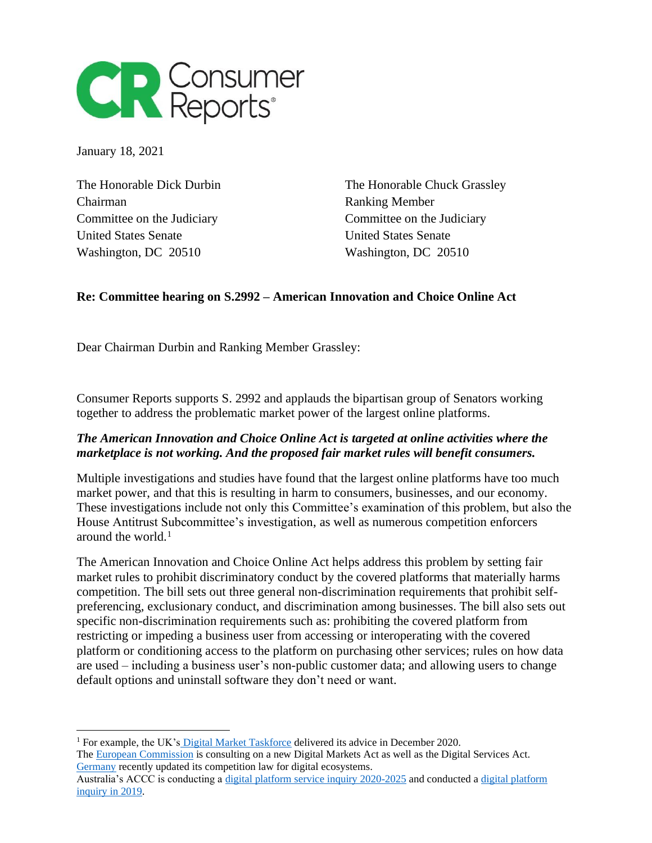

January 18, 2021

Chairman Ranking Member Committee on the Judiciary Committee on the Judiciary United States Senate United States Senate Washington, DC 20510 Washington, DC 20510

The Honorable Dick Durbin The Honorable Chuck Grassley

## **Re: Committee hearing on S.2992 – American Innovation and Choice Online Act**

Dear Chairman Durbin and Ranking Member Grassley:

Consumer Reports supports S. 2992 and applauds the bipartisan group of Senators working together to address the problematic market power of the largest online platforms.

## *The American Innovation and Choice Online Act is targeted at online activities where the marketplace is not working. And the proposed fair market rules will benefit consumers.*

Multiple investigations and studies have found that the largest online platforms have too much market power, and that this is resulting in harm to consumers, businesses, and our economy. These investigations include not only this Committee's examination of this problem, but also the House Antitrust Subcommittee's investigation, as well as numerous competition enforcers around the world. $<sup>1</sup>$ </sup>

The American Innovation and Choice Online Act helps address this problem by setting fair market rules to prohibit discriminatory conduct by the covered platforms that materially harms competition. The bill sets out three general non-discrimination requirements that prohibit selfpreferencing, exclusionary conduct, and discrimination among businesses. The bill also sets out specific non-discrimination requirements such as: prohibiting the covered platform from restricting or impeding a business user from accessing or interoperating with the covered platform or conditioning access to the platform on purchasing other services; rules on how data are used – including a business user's non-public customer data; and allowing users to change default options and uninstall software they don't need or want.

<sup>&</sup>lt;sup>1</sup> For example, the UK's [Digital Market Taskforce](https://www.gov.uk/cma-cases/digital-markets-taskforce) delivered its advice in December 2020.

The **European Commission** is consulting on a new Digital Markets Act as well as the Digital Services Act. [Germany](https://www.bundeskartellamt.de/SharedDocs/Meldung/EN/Pressemitteilungen/2021/19_01_2021_GWB%20Novelle.html) recently updated its competition law for digital ecosystems.

Australia's ACCC is conducting a [digital platform service inquiry 2020-2025](https://www.accc.gov.au/focus-areas/inquiries-ongoing/digital-platform-services-inquiry-2020-2025) and conducted [a digital platform](https://www.accc.gov.au/publications/digital-platforms-inquiry-final-report)  [inquiry in 2019.](https://www.accc.gov.au/publications/digital-platforms-inquiry-final-report)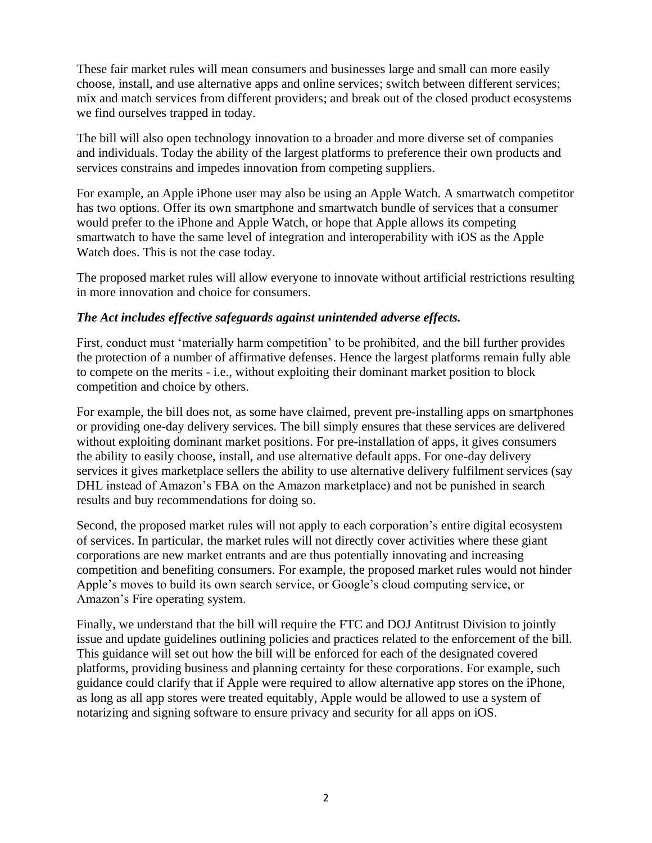These fair market rules will mean consumers and businesses large and small can more easily choose, install, and use alternative apps and online services; switch between different services; mix and match services from different providers; and break out of the closed product ecosystems we find ourselves trapped in today.

The bill will also open technology innovation to a broader and more diverse set of companies and individuals. Today the ability of the largest platforms to preference their own products and services constrains and impedes innovation from competing suppliers.

For example, an Apple iPhone user may also be using an Apple Watch. A smartwatch competitor has two options. Offer its own smartphone and smartwatch bundle of services that a consumer would prefer to the iPhone and Apple Watch, or hope that Apple allows its competing smartwatch to have the same level of integration and interoperability with iOS as the Apple Watch does. This is not the case today.

The proposed market rules will allow everyone to innovate without artificial restrictions resulting in more innovation and choice for consumers.

## *The Act includes effective safeguards against unintended adverse effects.*

First, conduct must 'materially harm competition' to be prohibited, and the bill further provides the protection of a number of affirmative defenses. Hence the largest platforms remain fully able to compete on the merits - i.e., without exploiting their dominant market position to block competition and choice by others.

For example, the bill does not, as some have claimed, prevent pre-installing apps on smartphones or providing one-day delivery services. The bill simply ensures that these services are delivered without exploiting dominant market positions. For pre-installation of apps, it gives consumers the ability to easily choose, install, and use alternative default apps. For one-day delivery services it gives marketplace sellers the ability to use alternative delivery fulfilment services (say DHL instead of Amazon's FBA on the Amazon marketplace) and not be punished in search results and buy recommendations for doing so.

Second, the proposed market rules will not apply to each corporation's entire digital ecosystem of services. In particular, the market rules will not directly cover activities where these giant corporations are new market entrants and are thus potentially innovating and increasing competition and benefiting consumers. For example, the proposed market rules would not hinder Apple's moves to build its own search service, or Google's cloud computing service, or Amazon's Fire operating system.

Finally, we understand that the bill will require the FTC and DOJ Antitrust Division to jointly issue and update guidelines outlining policies and practices related to the enforcement of the bill. This guidance will set out how the bill will be enforced for each of the designated covered platforms, providing business and planning certainty for these corporations. For example, such guidance could clarify that if Apple were required to allow alternative app stores on the iPhone, as long as all app stores were treated equitably, Apple would be allowed to use a system of notarizing and signing software to ensure privacy and security for all apps on iOS.